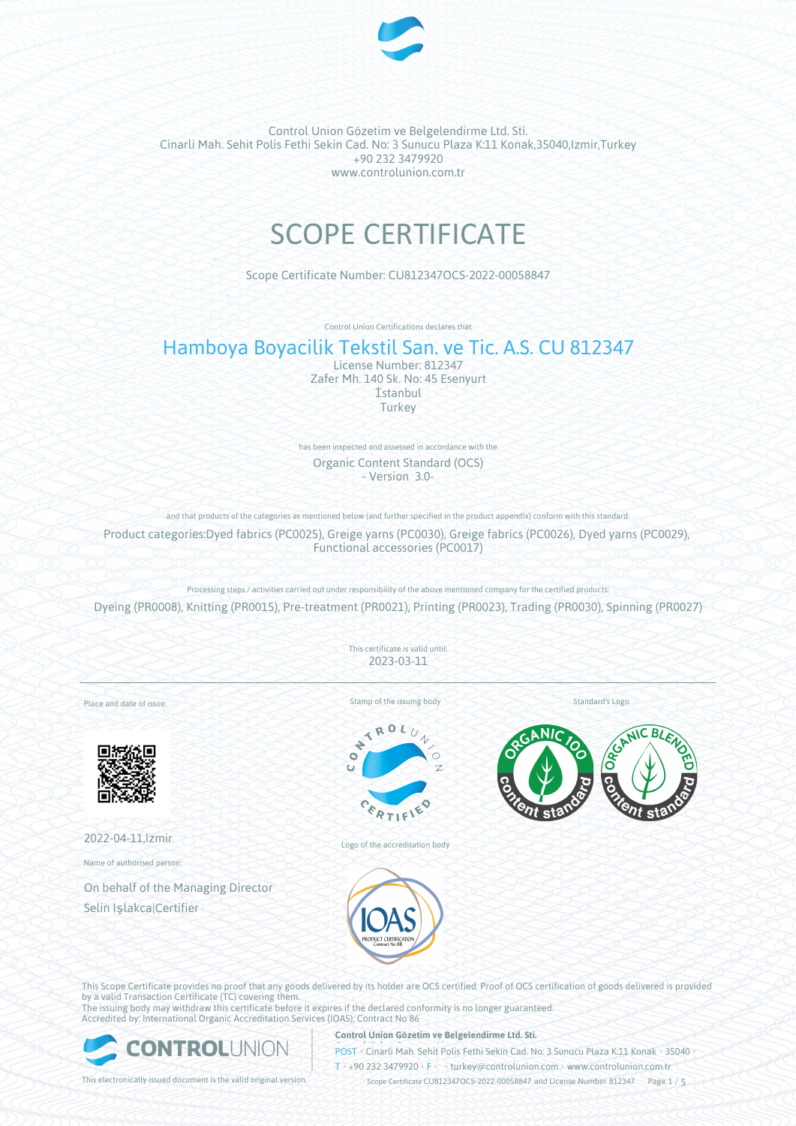

# SCOPE CERTIFICATE

Scope Certificate Number: CU812347OCS-2022-00058847

Control Union Certifications declares that

# Hamboya Boyacilik Tekstil San. ve Tic. A.S. CU 812347

License Number: 812347 Zafer Mh. 140 Sk. No: 45 Esenyurt İstanbul Turkey

has been inspected and assessed in accordance with the Organic Content Standard (OCS) - Version 3.0-

and that products of the categories as mentioned below (and further specified in the product appendix) conform with this standard. Product categories:Dyed fabrics (PC0025), Greige yarns (PC0030), Greige fabrics (PC0026), Dyed yarns (PC0029), Functional accessories (PC0017)

Processing steps / activities carried out under responsibility of the above mentioned company for the certified products: Dyeing (PR0008), Knitting (PR0015), Pre-treatment (PR0021), Printing (PR0023), Trading (PR0030), Spinning (PR0027)

> This certificate is valid until: 2023-03-11

Place and date of issue:



2022-04-11,Izmir

Name of authorised person:

On behalf of the Managing Director Selin Işlakca|Certifier

Stamp of the issuing body



Logo of the accreditation body



Standard's Logo



This Scope Certificate provides no proof that any goods delivered by its holder are OCS certified. Proof of OCS certification of goods delivered is provided by a valid Transaction Certificate (TC) covering them. The issuing body may withdraw this certificate before it expires if the declared conformity is no longer guaranteed.

Accredited by: International Organic Accreditation Services (IOAS); Contract No 86



#### **Control Union Gözetim ve Belgelendirme Ltd. Sti.**

**POST** • Cinarli Mah. Sehit Polis Fethi Sekin Cad. No: 3 Sunucu Plaza K:11 Konak • 35040

T • +90 232 3479920 • F • turkey@controlunion.com • www.controlunion.com.tr

This electronically issued document is the valid original version. Scope Certificate CU812347OCS-2022-00058847 and License Number 812347 Page 1 / 5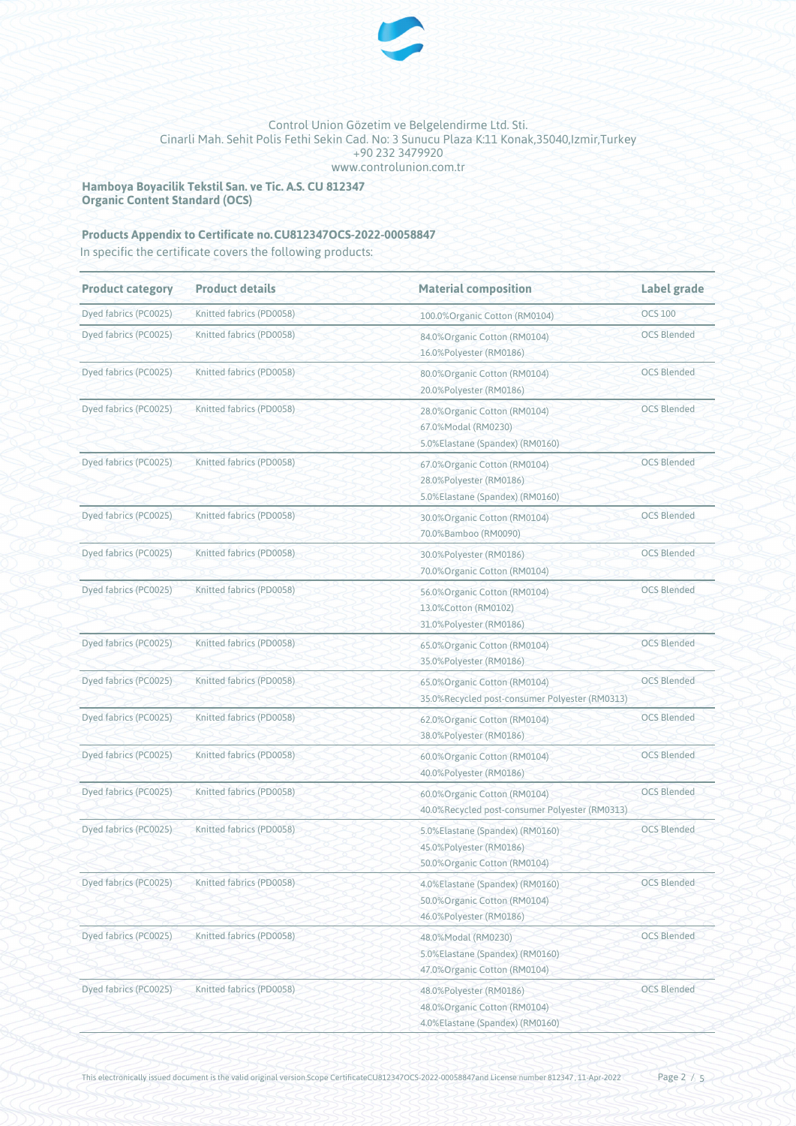

**Hamboya Boyacilik Tekstil San. ve Tic. A.S. CU 812347 Organic Content Standard (OCS)**

# Products Appendix to Certificate no.CU812347OCS-2022-00058847

In specific the certificate covers the following products:

| <b>Product category</b> | <b>Product details</b>   | <b>Material composition</b>                                                                                       | Label grade        |
|-------------------------|--------------------------|-------------------------------------------------------------------------------------------------------------------|--------------------|
| Dyed fabrics (PC0025)   | Knitted fabrics (PD0058) | 100.0% Organic Cotton (RM0104)                                                                                    | <b>OCS 100</b>     |
| Dyed fabrics (PC0025)   | Knitted fabrics (PD0058) | 84.0% Organic Cotton (RM0104)<br>16.0%Polyester (RM0186)                                                          | <b>OCS Blended</b> |
| Dyed fabrics (PC0025)   | Knitted fabrics (PD0058) | 80.0%Organic Cotton (RM0104)<br>20.0%Polyester (RM0186)                                                           | <b>OCS Blended</b> |
| Dyed fabrics (PC0025)   | Knitted fabrics (PD0058) | 28.0% Organic Cotton (RM0104)<br>67.0%Modal (RM0230)<br>5.0%Elastane (Spandex) (RM0160)                           | <b>OCS Blended</b> |
| Dyed fabrics (PC0025)   | Knitted fabrics (PD0058) | 67.0%Organic Cotton (RM0104)<br>28.0%Polyester (RM0186)<br>5.0%Elastane (Spandex) (RM0160)                        | <b>OCS Blended</b> |
| Dyed fabrics (PC0025)   | Knitted fabrics (PD0058) | 30.0% Organic Cotton (RM0104)<br>70.0%Bamboo (RM0090)                                                             | <b>OCS Blended</b> |
| Dyed fabrics (PC0025)   | Knitted fabrics (PD0058) | 30.0%Polyester (RM0186)<br>70.0% Organic Cotton (RM0104)                                                          | <b>OCS Blended</b> |
| Dyed fabrics (PC0025)   | Knitted fabrics (PD0058) | 56.0%Organic Cotton (RM0104)<br>13.0% Cotton (RM0102)<br>31.0%Polyester (RM0186)                                  | <b>OCS Blended</b> |
| Dyed fabrics (PC0025)   | Knitted fabrics (PD0058) | 65.0% Organic Cotton (RM0104)<br>35.0%Polyester (RM0186)                                                          | <b>OCS Blended</b> |
| Dyed fabrics (PC0025)   | Knitted fabrics (PD0058) | 65.0% Organic Cotton (RM0104)<br>35.0%Recycled post-consumer Polyester (RM0313)                                   | <b>OCS Blended</b> |
| Dyed fabrics (PC0025)   | Knitted fabrics (PD0058) | 62.0% Organic Cotton (RM0104)<br>38.0%Polyester (RM0186)                                                          | <b>OCS Blended</b> |
| Dyed fabrics (PC0025)   | Knitted fabrics (PD0058) | 60.0%Organic Cotton (RM0104)<br>40.0%Polyester (RM0186)                                                           | <b>OCS Blended</b> |
| Dyed fabrics (PC0025)   | Knitted fabrics (PD0058) | 60.0%Organic Cotton (RM0104)<br>40.0%Recycled post-consumer Polyester (RM0313)                                    | <b>OCS Blended</b> |
| Dyed fabrics (PC0025)   | Knitted fabrics (PD0058) | <b>OCS Blended</b><br>5.0%Elastane (Spandex) (RM0160)<br>45.0%Polyester (RM0186)<br>50.0% Organic Cotton (RM0104) |                    |
| Dyed fabrics (PC0025)   | Knitted fabrics (PD0058) | <b>OCS Blended</b><br>4.0%Elastane (Spandex) (RM0160)<br>50.0% Organic Cotton (RM0104)<br>46.0%Polyester (RM0186) |                    |
| Dyed fabrics (PC0025)   | Knitted fabrics (PD0058) | <b>OCS Blended</b><br>48.0%Modal (RM0230)<br>5.0%Elastane (Spandex) (RM0160)<br>47.0%Organic Cotton (RM0104)      |                    |
| Dyed fabrics (PC0025)   | Knitted fabrics (PD0058) | 48.0%Polyester (RM0186)<br>48.0% Organic Cotton (RM0104)<br>4.0%Elastane (Spandex) (RM0160)                       | <b>OCS Blended</b> |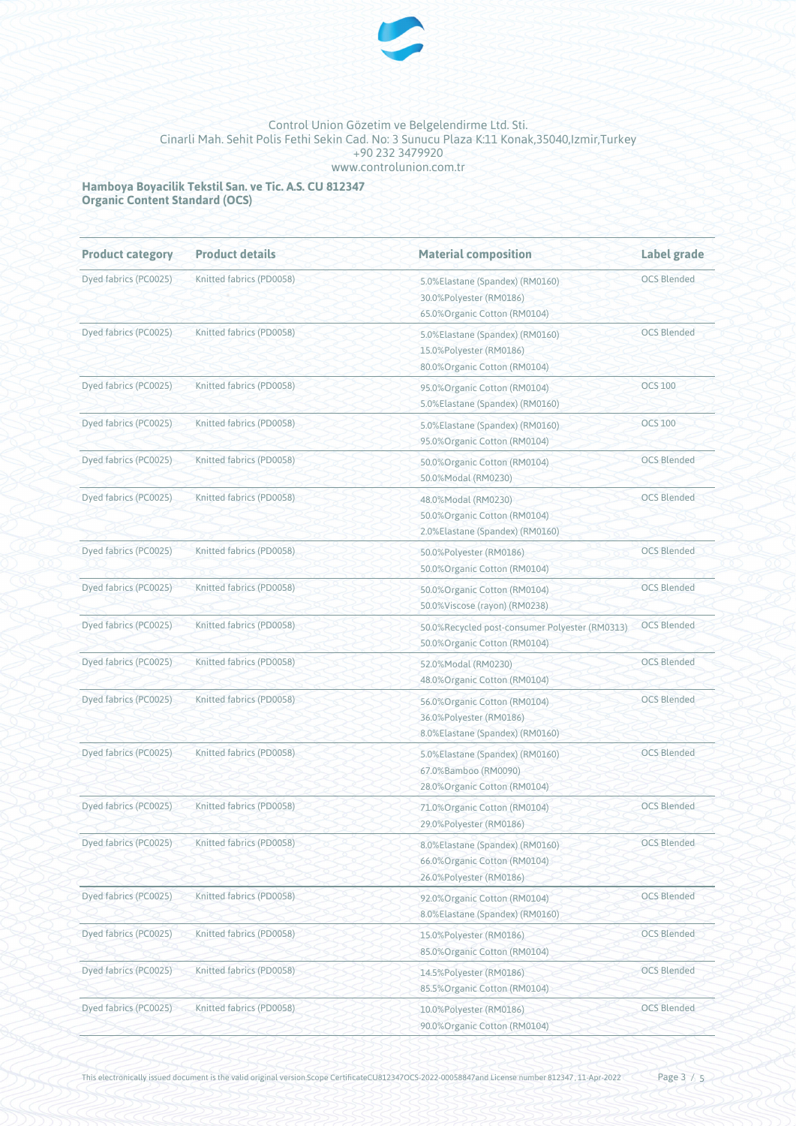

**Hamboya Boyacilik Tekstil San. ve Tic. A.S. CU 812347 Organic Content Standard (OCS)**

| <b>Product category</b> | <b>Product details</b>                                                                                                  | <b>Material composition</b>                                                                                       | Label grade        |
|-------------------------|-------------------------------------------------------------------------------------------------------------------------|-------------------------------------------------------------------------------------------------------------------|--------------------|
| Dyed fabrics (PC0025)   | Knitted fabrics (PD0058)<br>5.0%Elastane (Spandex) (RM0160)<br>30.0%Polyester (RM0186)<br>65.0% Organic Cotton (RM0104) |                                                                                                                   | <b>OCS Blended</b> |
| Dyed fabrics (PC0025)   | Knitted fabrics (PD0058)                                                                                                | 5.0%Elastane (Spandex) (RM0160)<br>15.0%Polyester (RM0186)<br>80.0% Organic Cotton (RM0104)                       | <b>OCS Blended</b> |
| Dyed fabrics (PC0025)   | Knitted fabrics (PD0058)                                                                                                | 95.0% Organic Cotton (RM0104)<br>5.0%Elastane (Spandex) (RM0160)                                                  | <b>OCS 100</b>     |
| Dyed fabrics (PC0025)   | Knitted fabrics (PD0058)                                                                                                | 5.0%Elastane (Spandex) (RM0160)<br>95.0% Organic Cotton (RM0104)                                                  | <b>OCS 100</b>     |
| Dyed fabrics (PC0025)   | Knitted fabrics (PD0058)                                                                                                | 50.0% Organic Cotton (RM0104)<br>50.0%Modal (RM0230)                                                              | <b>OCS Blended</b> |
| Dyed fabrics (PC0025)   | Knitted fabrics (PD0058)                                                                                                | 48.0%Modal (RM0230)<br>50.0% Organic Cotton (RM0104)<br>2.0%Elastane (Spandex) (RM0160)                           | <b>OCS Blended</b> |
| Dyed fabrics (PC0025)   | Knitted fabrics (PD0058)                                                                                                | 50.0%Polyester (RM0186)<br>50.0% Organic Cotton (RM0104)                                                          | <b>OCS Blended</b> |
| Dyed fabrics (PC0025)   | Knitted fabrics (PD0058)                                                                                                | 50.0%Organic Cotton (RM0104)<br>50.0%Viscose (rayon) (RM0238)                                                     | <b>OCS Blended</b> |
| Dyed fabrics (PC0025)   | Knitted fabrics (PD0058)                                                                                                | 50.0%Recycled post-consumer Polyester (RM0313)<br>50.0% Organic Cotton (RM0104)                                   | <b>OCS Blended</b> |
| Dyed fabrics (PC0025)   | Knitted fabrics (PD0058)                                                                                                | 52.0%Modal (RM0230)<br>48.0% Organic Cotton (RM0104)                                                              | <b>OCS Blended</b> |
| Dyed fabrics (PC0025)   | Knitted fabrics (PD0058)                                                                                                | 56.0%Organic Cotton (RM0104)<br>36.0%Polyester (RM0186)<br>8.0%Elastane (Spandex) (RM0160)                        | <b>OCS Blended</b> |
| Dyed fabrics (PC0025)   | Knitted fabrics (PD0058)                                                                                                | 5.0%Elastane (Spandex) (RM0160)<br>67.0%Bamboo (RM0090)<br>28.0% Organic Cotton (RM0104)                          | <b>OCS Blended</b> |
| Dyed fabrics (PC0025)   | Knitted fabrics (PD0058)                                                                                                | 71.0%Organic Cotton (RM0104)<br>29.0%Polyester (RM0186)                                                           | <b>OCS Blended</b> |
| Dyed fabrics (PC0025)   | Knitted fabrics (PD0058)                                                                                                | <b>OCS Blended</b><br>8.0%Elastane (Spandex) (RM0160)<br>66.0% Organic Cotton (RM0104)<br>26.0%Polyester (RM0186) |                    |
| Dyed fabrics (PC0025)   | Knitted fabrics (PD0058)                                                                                                | <b>OCS Blended</b><br>92.0%Organic Cotton (RM0104)<br>8.0%Elastane (Spandex) (RM0160)                             |                    |
| Dyed fabrics (PC0025)   | Knitted fabrics (PD0058)                                                                                                | <b>OCS Blended</b><br>15.0%Polyester (RM0186)<br>85.0% Organic Cotton (RM0104)                                    |                    |
| Dyed fabrics (PC0025)   | Knitted fabrics (PD0058)                                                                                                | <b>OCS Blended</b><br>14.5%Polyester (RM0186)<br>85.5% Organic Cotton (RM0104)                                    |                    |
| Dyed fabrics (PC0025)   | Knitted fabrics (PD0058)                                                                                                | 10.0%Polyester (RM0186)<br>90.0%Organic Cotton (RM0104)                                                           | <b>OCS Blended</b> |

This electronically issued document is the valid original version.Scope CertificateCU812347OCS-2022-00058847and License number 812347, 11-Apr-2022 Page 3 / 5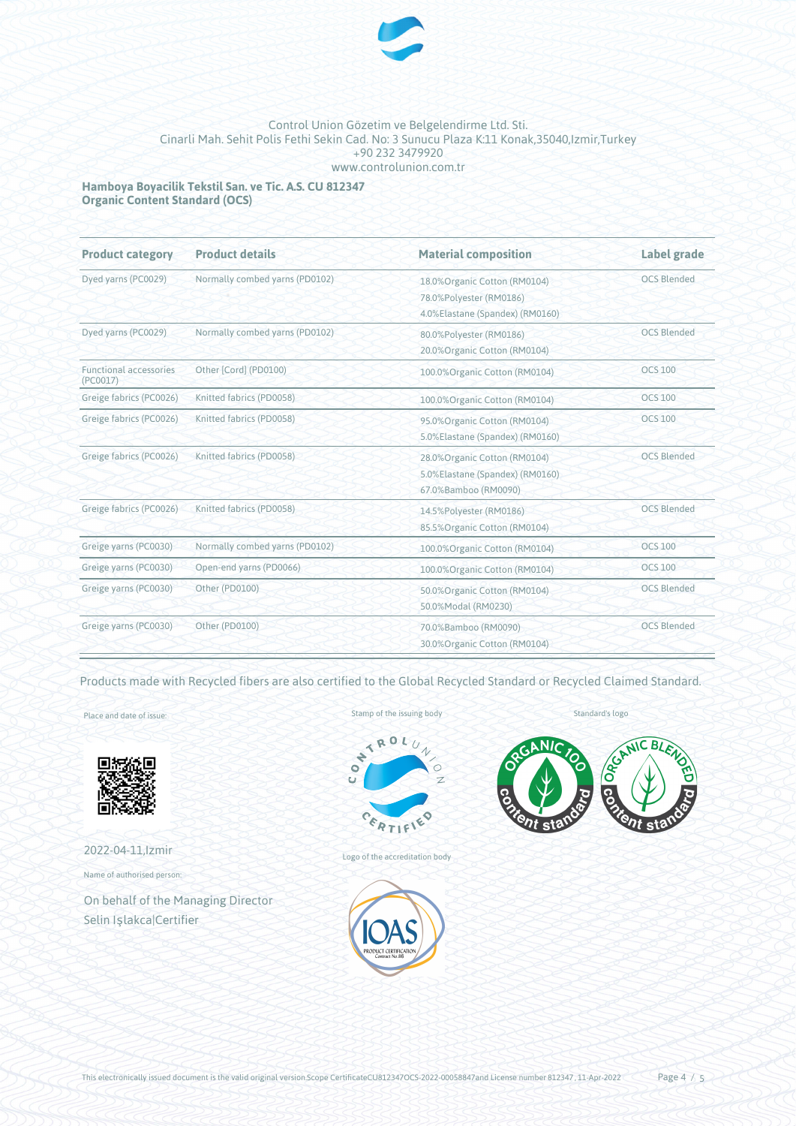

**Hamboya Boyacilik Tekstil San. ve Tic. A.S. CU 812347 Organic Content Standard (OCS)**

| <b>Product category</b>                             | <b>Product details</b>         | <b>Material composition</b>                                                                 | Label grade        |
|-----------------------------------------------------|--------------------------------|---------------------------------------------------------------------------------------------|--------------------|
| Dyed yarns (PC0029)                                 | Normally combed yarns (PD0102) | 18.0% Organic Cotton (RM0104)<br>78.0%Polyester (RM0186)<br>4.0%Elastane (Spandex) (RM0160) | <b>OCS Blended</b> |
| Dyed yarns (PC0029)                                 | Normally combed yarns (PD0102) | 80.0%Polyester (RM0186)<br>20.0%Organic Cotton (RM0104)                                     | <b>OCS Blended</b> |
| <b>Functional accessories</b><br>(PC0017)           | Other [Cord] (PD0100)          | 100.0%Organic Cotton (RM0104)                                                               | <b>OCS 100</b>     |
| Greige fabrics (PC0026)                             | Knitted fabrics (PD0058)       | 100.0%Organic Cotton (RM0104)                                                               | <b>OCS 100</b>     |
| Greige fabrics (PC0026)                             | Knitted fabrics (PD0058)       | 95.0% Organic Cotton (RM0104)<br>5.0%Elastane (Spandex) (RM0160)                            | <b>OCS 100</b>     |
| Greige fabrics (PC0026)                             | Knitted fabrics (PD0058)       | 28.0% Organic Cotton (RM0104)<br>5.0%Elastane (Spandex) (RM0160)<br>67.0%Bamboo (RM0090)    | <b>OCS Blended</b> |
| Greige fabrics (PC0026)<br>Knitted fabrics (PD0058) |                                | 14.5%Polyester (RM0186)<br>85.5% Organic Cotton (RM0104)                                    | <b>OCS Blended</b> |
| Greige yarns (PC0030)                               | Normally combed yarns (PD0102) | 100.0% Organic Cotton (RM0104)                                                              | <b>OCS 100</b>     |
| Greige yarns (PC0030)                               | Open-end yarns (PD0066)        | 100.0% Organic Cotton (RM0104)                                                              | <b>OCS 100</b>     |
| Greige yarns (PC0030)                               | Other (PD0100)                 | 50.0% Organic Cotton (RM0104)<br>50.0%Modal (RM0230)                                        | <b>OCS Blended</b> |
| Greige yarns (PC0030)                               | Other (PD0100)                 | 70.0%Bamboo (RM0090)<br>30.0% Organic Cotton (RM0104)                                       | <b>OCS Blended</b> |

Products made with Recycled fibers are also certified to the Global Recycled Standard or Recycled Claimed Standard.

Place and date of issue:



2022-04-11,Izmir Name of authorised person:

On behalf of the Managing Director Selin Işlakca|Certifier

Stamp of the issuing body



Logo of the accreditation body



Standard's logo



This electronically issued document is the valid original version.Scope CertificateCU812347OCS-2022-00058847and License number 812347, 11-Apr-2022 Page 4 / 5